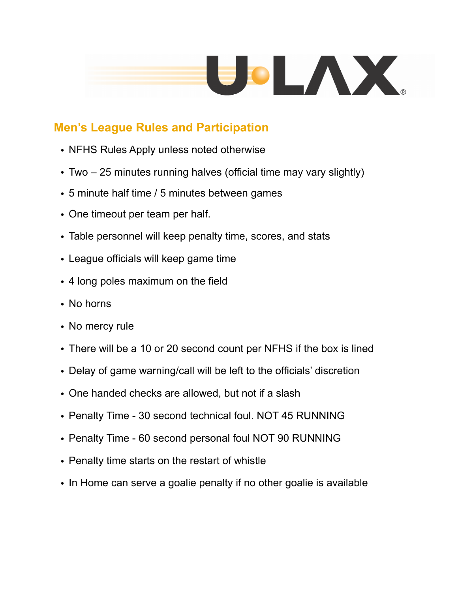

## **Men's League Rules and Participation**

- NFHS Rules Apply unless noted otherwise
- Two 25 minutes running halves (official time may vary slightly)
- 5 minute half time / 5 minutes between games
- One timeout per team per half.
- Table personnel will keep penalty time, scores, and stats
- League officials will keep game time
- 4 long poles maximum on the field
- No horns
- No mercy rule
- There will be a 10 or 20 second count per NFHS if the box is lined
- Delay of game warning/call will be left to the officials' discretion
- One handed checks are allowed, but not if a slash
- Penalty Time 30 second technical foul. NOT 45 RUNNING
- Penalty Time 60 second personal foul NOT 90 RUNNING
- Penalty time starts on the restart of whistle
- In Home can serve a goalie penalty if no other goalie is available